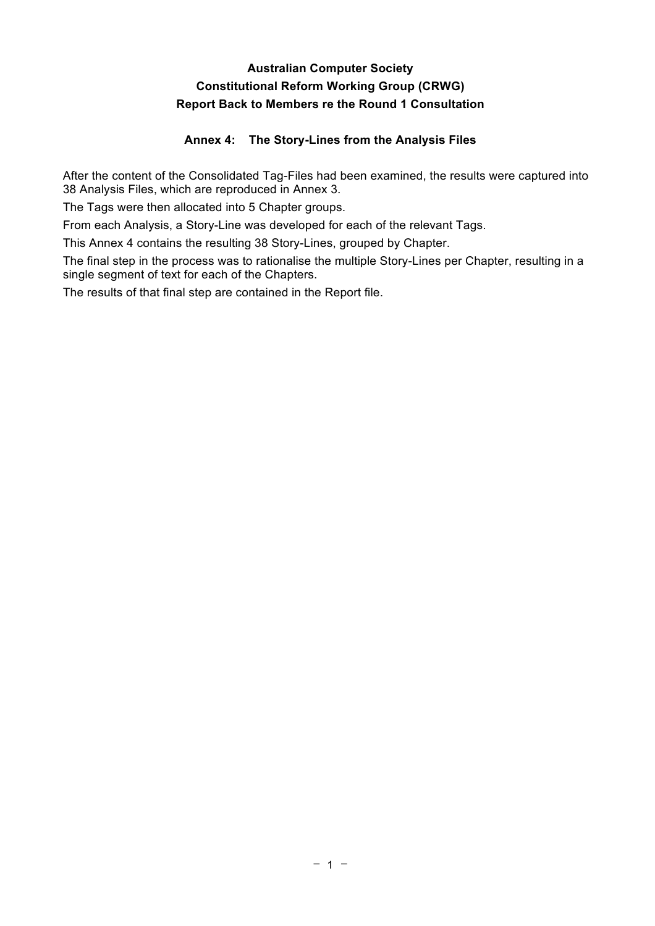# **Australian Computer Society Constitutional Reform Working Group (CRWG) Report Back to Members re the Round 1 Consultation**

# **Annex 4: The Story-Lines from the Analysis Files**

After the content of the Consolidated Tag-Files had been examined, the results were captured into 38 Analysis Files, which are reproduced in Annex 3.

The Tags were then allocated into 5 Chapter groups.

From each Analysis, a Story-Line was developed for each of the relevant Tags.

This Annex 4 contains the resulting 38 Story-Lines, grouped by Chapter.

The final step in the process was to rationalise the multiple Story-Lines per Chapter, resulting in a single segment of text for each of the Chapters.

The results of that final step are contained in the Report file.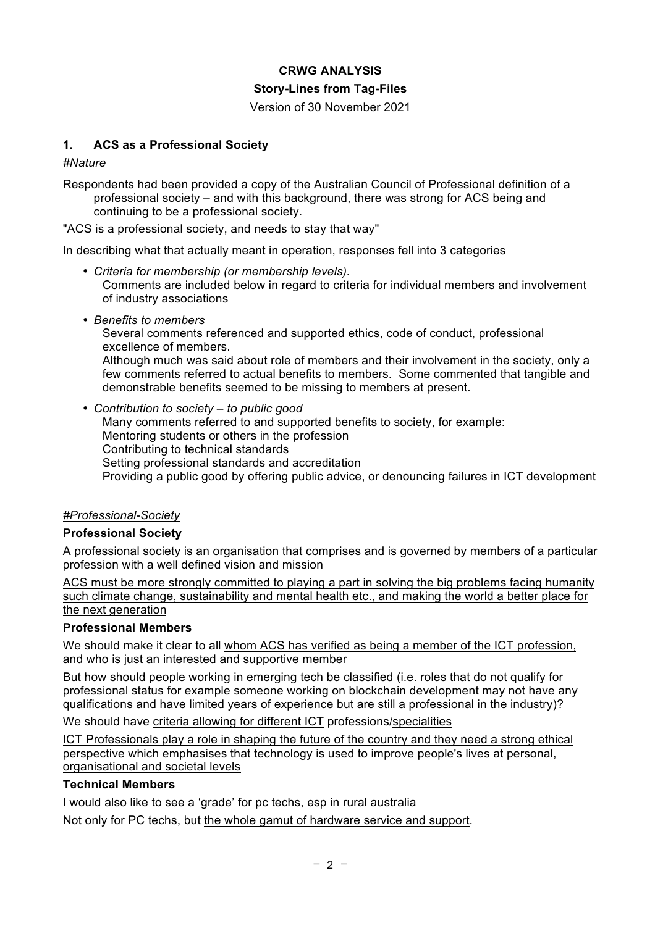## **CRWG ANALYSIS**

#### **Story-Lines from Tag-Files**

Version of 30 November 2021

## **1. ACS as a Professional Society**

*#Nature*

Respondents had been provided a copy of the Australian Council of Professional definition of a professional society – and with this background, there was strong for ACS being and continuing to be a professional society.

"ACS is a professional society, and needs to stay that way"

In describing what that actually meant in operation, responses fell into 3 categories

- *Criteria for membership (or membership levels).* Comments are included below in regard to criteria for individual members and involvement of industry associations
- *Benefits to members*

Several comments referenced and supported ethics, code of conduct, professional excellence of members.

Although much was said about role of members and their involvement in the society, only a few comments referred to actual benefits to members. Some commented that tangible and demonstrable benefits seemed to be missing to members at present.

• *Contribution to society – to public good* Many comments referred to and supported benefits to society, for example: Mentoring students or others in the profession Contributing to technical standards Setting professional standards and accreditation Providing a public good by offering public advice, or denouncing failures in ICT development

### *#Professional-Society*

### **Professional Society**

A professional society is an organisation that comprises and is governed by members of a particular profession with a well defined vision and mission

ACS must be more strongly committed to playing a part in solving the big problems facing humanity such climate change, sustainability and mental health etc., and making the world a better place for the next generation

### **Professional Members**

We should make it clear to all whom ACS has verified as being a member of the ICT profession, and who is just an interested and supportive member

But how should people working in emerging tech be classified (i.e. roles that do not qualify for professional status for example someone working on blockchain development may not have any qualifications and have limited years of experience but are still a professional in the industry)?

We should have criteria allowing for different ICT professions/specialities

**I**CT Professionals play a role in shaping the future of the country and they need a strong ethical perspective which emphasises that technology is used to improve people's lives at personal, organisational and societal levels

#### **Technical Members**

I would also like to see a 'grade' for pc techs, esp in rural australia

Not only for PC techs, but the whole gamut of hardware service and support.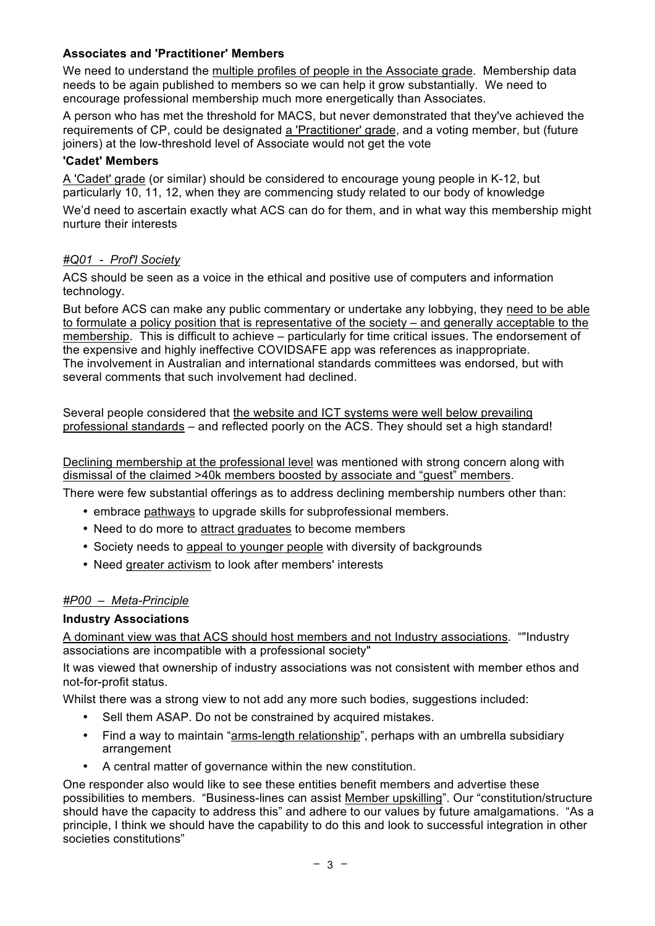## **Associates and 'Practitioner' Members**

We need to understand the multiple profiles of people in the Associate grade. Membership data needs to be again published to members so we can help it grow substantially. We need to encourage professional membership much more energetically than Associates.

A person who has met the threshold for MACS, but never demonstrated that they've achieved the requirements of CP, could be designated a 'Practitioner' grade, and a voting member, but (future joiners) at the low-threshold level of Associate would not get the vote

## **'Cadet' Members**

A 'Cadet' grade (or similar) should be considered to encourage young people in K-12, but particularly 10, 11, 12, when they are commencing study related to our body of knowledge

We'd need to ascertain exactly what ACS can do for them, and in what way this membership might nurture their interests

## *#Q01 - Prof'l Society*

ACS should be seen as a voice in the ethical and positive use of computers and information technology.

But before ACS can make any public commentary or undertake any lobbying, they need to be able to formulate a policy position that is representative of the society – and generally acceptable to the membership. This is difficult to achieve – particularly for time critical issues. The endorsement of the expensive and highly ineffective COVIDSAFE app was references as inappropriate. The involvement in Australian and international standards committees was endorsed, but with several comments that such involvement had declined.

Several people considered that the website and ICT systems were well below prevailing professional standards – and reflected poorly on the ACS. They should set a high standard!

Declining membership at the professional level was mentioned with strong concern along with dismissal of the claimed >40k members boosted by associate and "guest" members.

There were few substantial offerings as to address declining membership numbers other than:

- embrace pathways to upgrade skills for subprofessional members.
- Need to do more to attract graduates to become members
- Society needs to appeal to younger people with diversity of backgrounds
- Need greater activism to look after members' interests

## *#P00 – Meta-Principle*

### **Industry Associations**

A dominant view was that ACS should host members and not Industry associations. ""Industry associations are incompatible with a professional society"

It was viewed that ownership of industry associations was not consistent with member ethos and not-for-profit status.

Whilst there was a strong view to not add any more such bodies, suggestions included:

- Sell them ASAP. Do not be constrained by acquired mistakes.
- Find a way to maintain "arms-length relationship", perhaps with an umbrella subsidiary arrangement
- A central matter of governance within the new constitution.

One responder also would like to see these entities benefit members and advertise these possibilities to members. "Business-lines can assist Member upskilling". Our "constitution/structure should have the capacity to address this" and adhere to our values by future amalgamations. "As a principle, I think we should have the capability to do this and look to successful integration in other societies constitutions"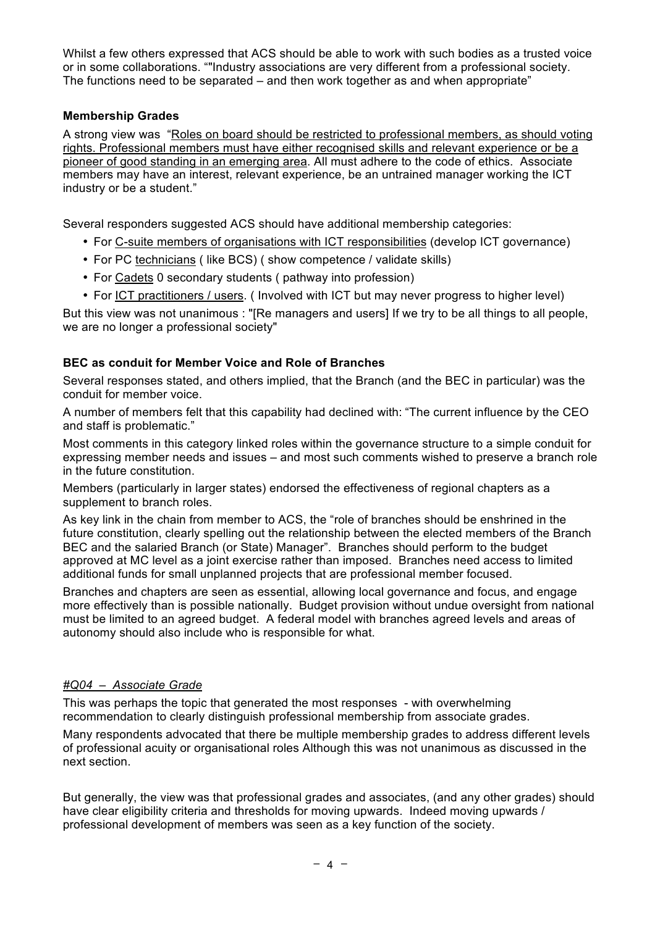Whilst a few others expressed that ACS should be able to work with such bodies as a trusted voice or in some collaborations. ""Industry associations are very different from a professional society. The functions need to be separated  $-$  and then work together as and when appropriate"

## **Membership Grades**

A strong view was "Roles on board should be restricted to professional members, as should voting rights. Professional members must have either recognised skills and relevant experience or be a pioneer of good standing in an emerging area. All must adhere to the code of ethics. Associate members may have an interest, relevant experience, be an untrained manager working the ICT industry or be a student."

Several responders suggested ACS should have additional membership categories:

- For C-suite members of organisations with ICT responsibilities (develop ICT governance)
- For PC technicians ( like BCS) ( show competence / validate skills)
- For Cadets 0 secondary students ( pathway into profession)
- For ICT practitioners / users. (Involved with ICT but may never progress to higher level)

But this view was not unanimous : "[Re managers and users] If we try to be all things to all people, we are no longer a professional society"

#### **BEC as conduit for Member Voice and Role of Branches**

Several responses stated, and others implied, that the Branch (and the BEC in particular) was the conduit for member voice.

A number of members felt that this capability had declined with: "The current influence by the CEO and staff is problematic."

Most comments in this category linked roles within the governance structure to a simple conduit for expressing member needs and issues – and most such comments wished to preserve a branch role in the future constitution.

Members (particularly in larger states) endorsed the effectiveness of regional chapters as a supplement to branch roles.

As key link in the chain from member to ACS, the "role of branches should be enshrined in the future constitution, clearly spelling out the relationship between the elected members of the Branch BEC and the salaried Branch (or State) Manager". Branches should perform to the budget approved at MC level as a joint exercise rather than imposed. Branches need access to limited additional funds for small unplanned projects that are professional member focused.

Branches and chapters are seen as essential, allowing local governance and focus, and engage more effectively than is possible nationally. Budget provision without undue oversight from national must be limited to an agreed budget. A federal model with branches agreed levels and areas of autonomy should also include who is responsible for what.

## *#Q04 – Associate Grade*

This was perhaps the topic that generated the most responses - with overwhelming recommendation to clearly distinguish professional membership from associate grades.

Many respondents advocated that there be multiple membership grades to address different levels of professional acuity or organisational roles Although this was not unanimous as discussed in the next section.

But generally, the view was that professional grades and associates, (and any other grades) should have clear eligibility criteria and thresholds for moving upwards. Indeed moving upwards / professional development of members was seen as a key function of the society.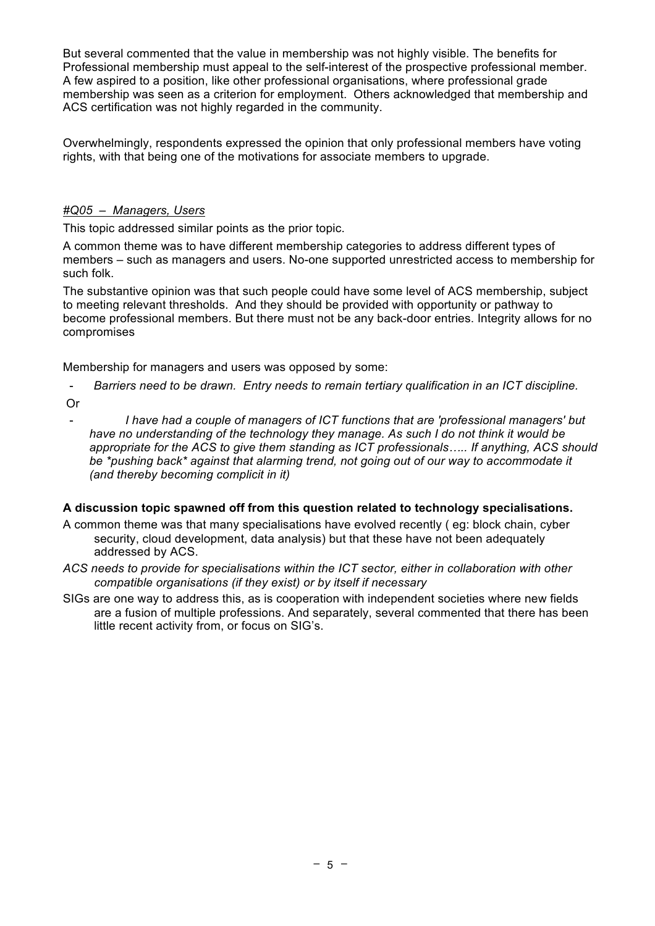But several commented that the value in membership was not highly visible. The benefits for Professional membership must appeal to the self-interest of the prospective professional member. A few aspired to a position, like other professional organisations, where professional grade membership was seen as a criterion for employment. Others acknowledged that membership and ACS certification was not highly regarded in the community.

Overwhelmingly, respondents expressed the opinion that only professional members have voting rights, with that being one of the motivations for associate members to upgrade.

# *#Q05 – Managers, Users*

This topic addressed similar points as the prior topic.

A common theme was to have different membership categories to address different types of members – such as managers and users. No-one supported unrestricted access to membership for such folk.

The substantive opinion was that such people could have some level of ACS membership, subject to meeting relevant thresholds. And they should be provided with opportunity or pathway to become professional members. But there must not be any back-door entries. Integrity allows for no compromises

Membership for managers and users was opposed by some:

- *Barriers need to be drawn. Entry needs to remain tertiary qualification in an ICT discipline.*
- Or
- *I have had a couple of managers of ICT functions that are 'professional managers' but have no understanding of the technology they manage. As such I do not think it would be appropriate for the ACS to give them standing as ICT professionals….. If anything, ACS should be \*pushing back\* against that alarming trend, not going out of our way to accommodate it (and thereby becoming complicit in it)*

### **A discussion topic spawned off from this question related to technology specialisations.**

- A common theme was that many specialisations have evolved recently ( eg: block chain, cyber security, cloud development, data analysis) but that these have not been adequately addressed by ACS.
- *ACS needs to provide for specialisations within the ICT sector, either in collaboration with other compatible organisations (if they exist) or by itself if necessary*
- SIGs are one way to address this, as is cooperation with independent societies where new fields are a fusion of multiple professions. And separately, several commented that there has been little recent activity from, or focus on SIG's.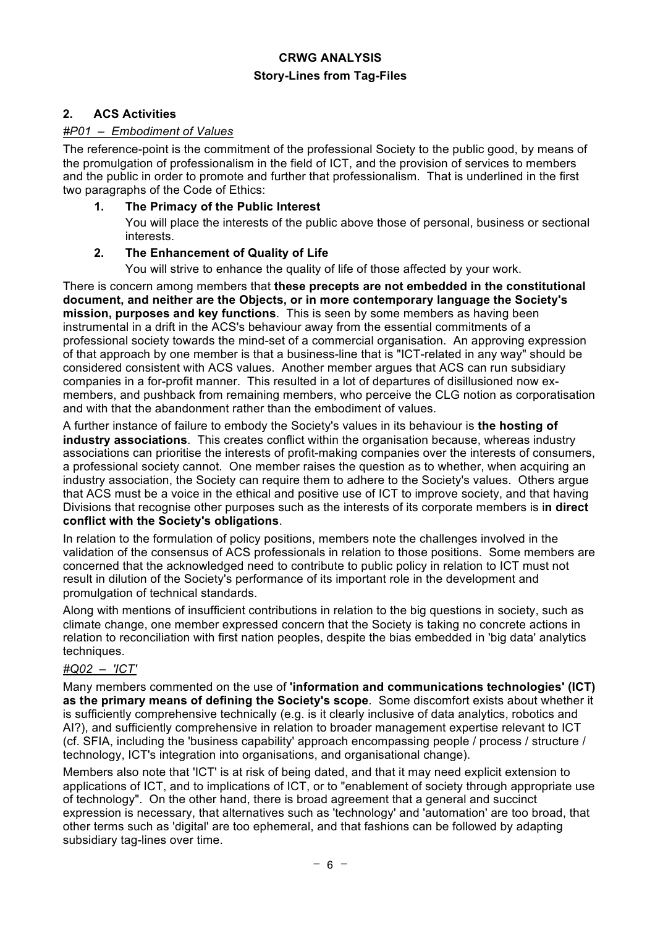## **2. ACS Activities**

### *#P01 – Embodiment of Values*

The reference-point is the commitment of the professional Society to the public good, by means of the promulgation of professionalism in the field of ICT, and the provision of services to members and the public in order to promote and further that professionalism. That is underlined in the first two paragraphs of the Code of Ethics:

### **1. The Primacy of the Public Interest**

You will place the interests of the public above those of personal, business or sectional interests.

### **2. The Enhancement of Quality of Life**

You will strive to enhance the quality of life of those affected by your work.

There is concern among members that **these precepts are not embedded in the constitutional document, and neither are the Objects, or in more contemporary language the Society's mission, purposes and key functions**. This is seen by some members as having been instrumental in a drift in the ACS's behaviour away from the essential commitments of a professional society towards the mind-set of a commercial organisation. An approving expression of that approach by one member is that a business-line that is "ICT-related in any way" should be considered consistent with ACS values. Another member argues that ACS can run subsidiary companies in a for-profit manner. This resulted in a lot of departures of disillusioned now exmembers, and pushback from remaining members, who perceive the CLG notion as corporatisation and with that the abandonment rather than the embodiment of values.

A further instance of failure to embody the Society's values in its behaviour is **the hosting of industry associations**. This creates conflict within the organisation because, whereas industry associations can prioritise the interests of profit-making companies over the interests of consumers, a professional society cannot. One member raises the question as to whether, when acquiring an industry association, the Society can require them to adhere to the Society's values. Others argue that ACS must be a voice in the ethical and positive use of ICT to improve society, and that having Divisions that recognise other purposes such as the interests of its corporate members is i**n direct conflict with the Society's obligations**.

In relation to the formulation of policy positions, members note the challenges involved in the validation of the consensus of ACS professionals in relation to those positions. Some members are concerned that the acknowledged need to contribute to public policy in relation to ICT must not result in dilution of the Society's performance of its important role in the development and promulgation of technical standards.

Along with mentions of insufficient contributions in relation to the big questions in society, such as climate change, one member expressed concern that the Society is taking no concrete actions in relation to reconciliation with first nation peoples, despite the bias embedded in 'big data' analytics techniques.

### *#Q02 – 'ICT'*

Many members commented on the use of **'information and communications technologies' (ICT) as the primary means of defining the Society's scope**. Some discomfort exists about whether it is sufficiently comprehensive technically (e.g. is it clearly inclusive of data analytics, robotics and AI?), and sufficiently comprehensive in relation to broader management expertise relevant to ICT (cf. SFIA, including the 'business capability' approach encompassing people / process / structure / technology, ICT's integration into organisations, and organisational change).

Members also note that 'ICT' is at risk of being dated, and that it may need explicit extension to applications of ICT, and to implications of ICT, or to "enablement of society through appropriate use of technology". On the other hand, there is broad agreement that a general and succinct expression is necessary, that alternatives such as 'technology' and 'automation' are too broad, that other terms such as 'digital' are too ephemeral, and that fashions can be followed by adapting subsidiary tag-lines over time.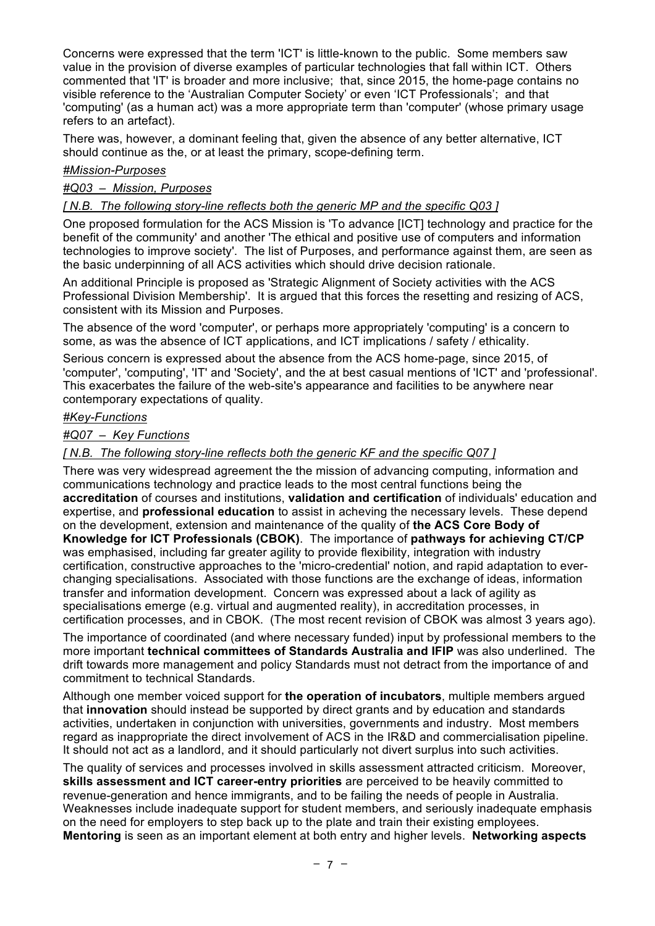Concerns were expressed that the term 'ICT' is little-known to the public. Some members saw value in the provision of diverse examples of particular technologies that fall within ICT. Others commented that 'IT' is broader and more inclusive; that, since 2015, the home-page contains no visible reference to the 'Australian Computer Society' or even 'ICT Professionals'; and that 'computing' (as a human act) was a more appropriate term than 'computer' (whose primary usage refers to an artefact).

There was, however, a dominant feeling that, given the absence of any better alternative, ICT should continue as the, or at least the primary, scope-defining term.

#### *#Mission-Purposes*

#### *#Q03 – Mission, Purposes*

#### *[ N.B. The following story-line reflects both the generic MP and the specific Q03 ]*

One proposed formulation for the ACS Mission is 'To advance [ICT] technology and practice for the benefit of the community' and another 'The ethical and positive use of computers and information technologies to improve society'. The list of Purposes, and performance against them, are seen as the basic underpinning of all ACS activities which should drive decision rationale.

An additional Principle is proposed as 'Strategic Alignment of Society activities with the ACS Professional Division Membership'. It is argued that this forces the resetting and resizing of ACS, consistent with its Mission and Purposes.

The absence of the word 'computer', or perhaps more appropriately 'computing' is a concern to some, as was the absence of ICT applications, and ICT implications / safety / ethicality.

Serious concern is expressed about the absence from the ACS home-page, since 2015, of 'computer', 'computing', 'IT' and 'Society', and the at best casual mentions of 'ICT' and 'professional'. This exacerbates the failure of the web-site's appearance and facilities to be anywhere near contemporary expectations of quality.

#### *#Key-Functions*

#### *#Q07 – Key Functions*

#### *[ N.B. The following story-line reflects both the generic KF and the specific Q07 ]*

There was very widespread agreement the the mission of advancing computing, information and communications technology and practice leads to the most central functions being the **accreditation** of courses and institutions, **validation and certification** of individuals' education and expertise, and **professional education** to assist in acheving the necessary levels. These depend on the development, extension and maintenance of the quality of **the ACS Core Body of Knowledge for ICT Professionals (CBOK)**. The importance of **pathways for achieving CT/CP** was emphasised, including far greater agility to provide flexibility, integration with industry certification, constructive approaches to the 'micro-credential' notion, and rapid adaptation to everchanging specialisations. Associated with those functions are the exchange of ideas, information transfer and information development. Concern was expressed about a lack of agility as specialisations emerge (e.g. virtual and augmented reality), in accreditation processes, in certification processes, and in CBOK. (The most recent revision of CBOK was almost 3 years ago).

The importance of coordinated (and where necessary funded) input by professional members to the more important **technical committees of Standards Australia and IFIP** was also underlined. The drift towards more management and policy Standards must not detract from the importance of and commitment to technical Standards.

Although one member voiced support for **the operation of incubators**, multiple members argued that **innovation** should instead be supported by direct grants and by education and standards activities, undertaken in conjunction with universities, governments and industry. Most members regard as inappropriate the direct involvement of ACS in the IR&D and commercialisation pipeline. It should not act as a landlord, and it should particularly not divert surplus into such activities.

The quality of services and processes involved in skills assessment attracted criticism. Moreover, **skills assessment and ICT career-entry priorities** are perceived to be heavily committed to revenue-generation and hence immigrants, and to be failing the needs of people in Australia. Weaknesses include inadequate support for student members, and seriously inadequate emphasis on the need for employers to step back up to the plate and train their existing employees. **Mentoring** is seen as an important element at both entry and higher levels. **Networking aspects**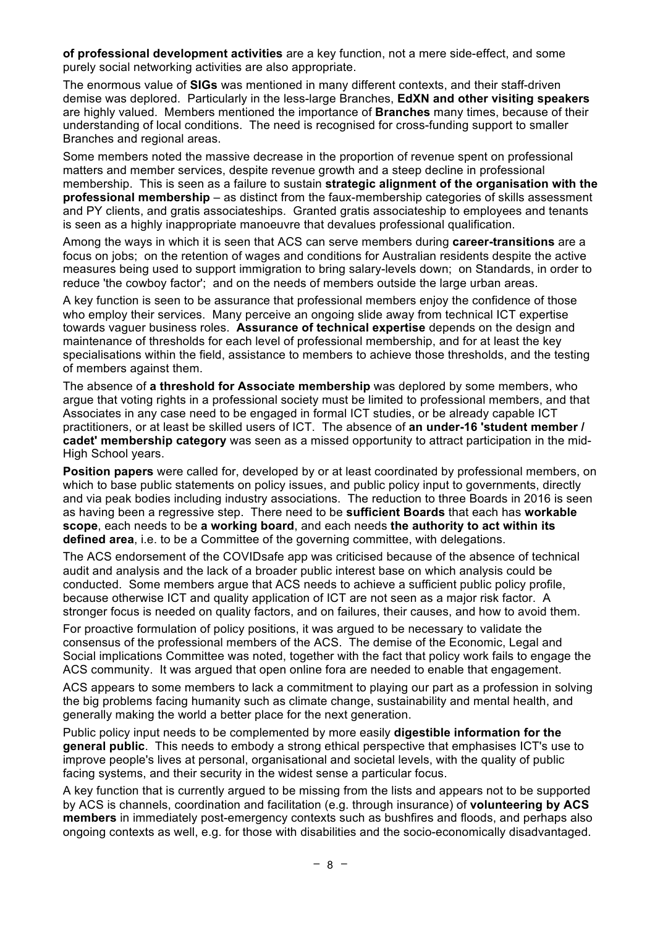**of professional development activities** are a key function, not a mere side-effect, and some purely social networking activities are also appropriate.

The enormous value of **SIGs** was mentioned in many different contexts, and their staff-driven demise was deplored. Particularly in the less-large Branches, **EdXN and other visiting speakers** are highly valued. Members mentioned the importance of **Branches** many times, because of their understanding of local conditions. The need is recognised for cross-funding support to smaller Branches and regional areas.

Some members noted the massive decrease in the proportion of revenue spent on professional matters and member services, despite revenue growth and a steep decline in professional membership. This is seen as a failure to sustain **strategic alignment of the organisation with the professional membership** – as distinct from the faux-membership categories of skills assessment and PY clients, and gratis associateships. Granted gratis associateship to employees and tenants is seen as a highly inappropriate manoeuvre that devalues professional qualification.

Among the ways in which it is seen that ACS can serve members during **career-transitions** are a focus on jobs; on the retention of wages and conditions for Australian residents despite the active measures being used to support immigration to bring salary-levels down; on Standards, in order to reduce 'the cowboy factor'; and on the needs of members outside the large urban areas.

A key function is seen to be assurance that professional members enjoy the confidence of those who employ their services. Many perceive an ongoing slide away from technical ICT expertise towards vaguer business roles. **Assurance of technical expertise** depends on the design and maintenance of thresholds for each level of professional membership, and for at least the key specialisations within the field, assistance to members to achieve those thresholds, and the testing of members against them.

The absence of **a threshold for Associate membership** was deplored by some members, who argue that voting rights in a professional society must be limited to professional members, and that Associates in any case need to be engaged in formal ICT studies, or be already capable ICT practitioners, or at least be skilled users of ICT. The absence of **an under-16 'student member / cadet' membership category** was seen as a missed opportunity to attract participation in the mid-High School years.

**Position papers** were called for, developed by or at least coordinated by professional members, on which to base public statements on policy issues, and public policy input to governments, directly and via peak bodies including industry associations. The reduction to three Boards in 2016 is seen as having been a regressive step. There need to be **sufficient Boards** that each has **workable scope**, each needs to be **a working board**, and each needs **the authority to act within its defined area**, i.e. to be a Committee of the governing committee, with delegations.

The ACS endorsement of the COVIDsafe app was criticised because of the absence of technical audit and analysis and the lack of a broader public interest base on which analysis could be conducted. Some members argue that ACS needs to achieve a sufficient public policy profile, because otherwise ICT and quality application of ICT are not seen as a major risk factor. A stronger focus is needed on quality factors, and on failures, their causes, and how to avoid them.

For proactive formulation of policy positions, it was argued to be necessary to validate the consensus of the professional members of the ACS. The demise of the Economic, Legal and Social implications Committee was noted, together with the fact that policy work fails to engage the ACS community. It was argued that open online fora are needed to enable that engagement.

ACS appears to some members to lack a commitment to playing our part as a profession in solving the big problems facing humanity such as climate change, sustainability and mental health, and generally making the world a better place for the next generation.

Public policy input needs to be complemented by more easily **digestible information for the general public**. This needs to embody a strong ethical perspective that emphasises ICT's use to improve people's lives at personal, organisational and societal levels, with the quality of public facing systems, and their security in the widest sense a particular focus.

A key function that is currently argued to be missing from the lists and appears not to be supported by ACS is channels, coordination and facilitation (e.g. through insurance) of **volunteering by ACS members** in immediately post-emergency contexts such as bushfires and floods, and perhaps also ongoing contexts as well, e.g. for those with disabilities and the socio-economically disadvantaged.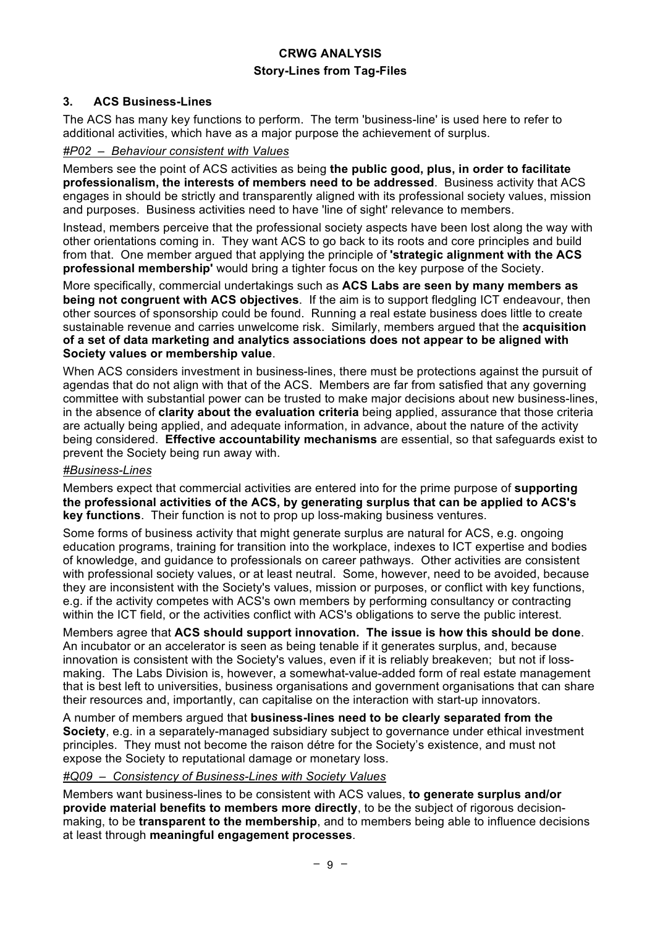## **3. ACS Business-Lines**

The ACS has many key functions to perform. The term 'business-line' is used here to refer to additional activities, which have as a major purpose the achievement of surplus.

#### *#P02 – Behaviour consistent with Values*

Members see the point of ACS activities as being **the public good, plus, in order to facilitate professionalism, the interests of members need to be addressed**. Business activity that ACS engages in should be strictly and transparently aligned with its professional society values, mission and purposes. Business activities need to have 'line of sight' relevance to members.

Instead, members perceive that the professional society aspects have been lost along the way with other orientations coming in. They want ACS to go back to its roots and core principles and build from that. One member argued that applying the principle of **'strategic alignment with the ACS professional membership'** would bring a tighter focus on the key purpose of the Society.

More specifically, commercial undertakings such as **ACS Labs are seen by many members as being not congruent with ACS objectives**. If the aim is to support fledgling ICT endeavour, then other sources of sponsorship could be found. Running a real estate business does little to create sustainable revenue and carries unwelcome risk. Similarly, members argued that the **acquisition of a set of data marketing and analytics associations does not appear to be aligned with Society values or membership value**.

When ACS considers investment in business-lines, there must be protections against the pursuit of agendas that do not align with that of the ACS. Members are far from satisfied that any governing committee with substantial power can be trusted to make major decisions about new business-lines, in the absence of **clarity about the evaluation criteria** being applied, assurance that those criteria are actually being applied, and adequate information, in advance, about the nature of the activity being considered. **Effective accountability mechanisms** are essential, so that safeguards exist to prevent the Society being run away with.

### *#Business-Lines*

Members expect that commercial activities are entered into for the prime purpose of **supporting the professional activities of the ACS, by generating surplus that can be applied to ACS's key functions**. Their function is not to prop up loss-making business ventures.

Some forms of business activity that might generate surplus are natural for ACS, e.g. ongoing education programs, training for transition into the workplace, indexes to ICT expertise and bodies of knowledge, and guidance to professionals on career pathways. Other activities are consistent with professional society values, or at least neutral. Some, however, need to be avoided, because they are inconsistent with the Society's values, mission or purposes, or conflict with key functions, e.g. if the activity competes with ACS's own members by performing consultancy or contracting within the ICT field, or the activities conflict with ACS's obligations to serve the public interest.

Members agree that **ACS should support innovation. The issue is how this should be done**. An incubator or an accelerator is seen as being tenable if it generates surplus, and, because innovation is consistent with the Society's values, even if it is reliably breakeven; but not if lossmaking. The Labs Division is, however, a somewhat-value-added form of real estate management that is best left to universities, business organisations and government organisations that can share their resources and, importantly, can capitalise on the interaction with start-up innovators.

A number of members argued that **business-lines need to be clearly separated from the Society**, e.g. in a separately-managed subsidiary subject to governance under ethical investment principles. They must not become the raison détre for the Society's existence, and must not expose the Society to reputational damage or monetary loss.

#### *#Q09 – Consistency of Business-Lines with Society Values*

Members want business-lines to be consistent with ACS values, **to generate surplus and/or provide material benefits to members more directly**, to be the subject of rigorous decisionmaking, to be **transparent to the membership**, and to members being able to influence decisions at least through **meaningful engagement processes**.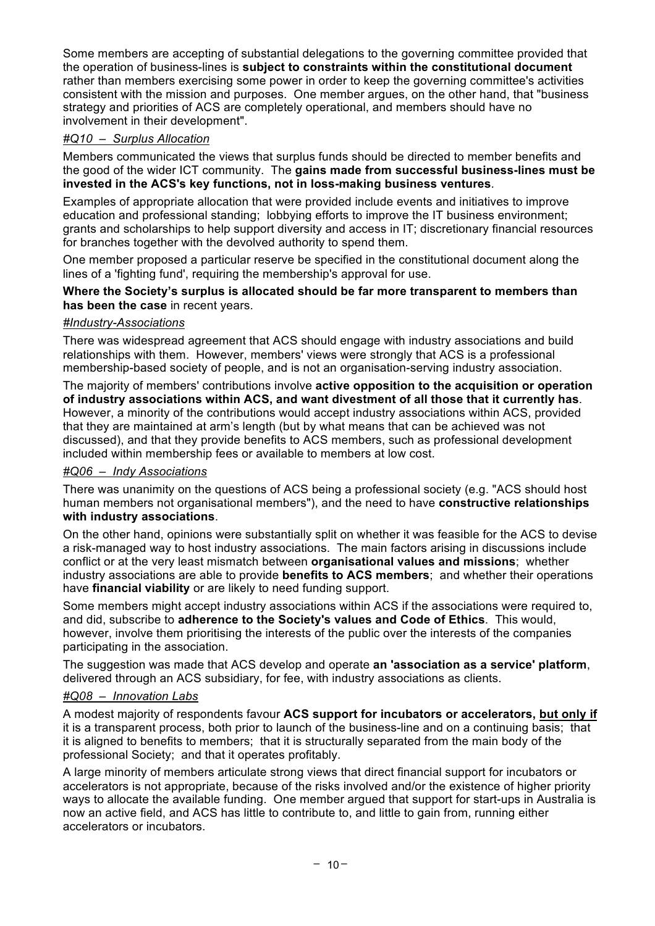Some members are accepting of substantial delegations to the governing committee provided that the operation of business-lines is **subject to constraints within the constitutional document** rather than members exercising some power in order to keep the governing committee's activities consistent with the mission and purposes. One member argues, on the other hand, that "business strategy and priorities of ACS are completely operational, and members should have no involvement in their development".

## *#Q10 – Surplus Allocation*

Members communicated the views that surplus funds should be directed to member benefits and the good of the wider ICT community. The **gains made from successful business-lines must be invested in the ACS's key functions, not in loss-making business ventures**.

Examples of appropriate allocation that were provided include events and initiatives to improve education and professional standing; lobbying efforts to improve the IT business environment; grants and scholarships to help support diversity and access in IT; discretionary financial resources for branches together with the devolved authority to spend them.

One member proposed a particular reserve be specified in the constitutional document along the lines of a 'fighting fund', requiring the membership's approval for use.

#### **Where the Society's surplus is allocated should be far more transparent to members than has been the case** in recent years.

### *#Industry-Associations*

There was widespread agreement that ACS should engage with industry associations and build relationships with them. However, members' views were strongly that ACS is a professional membership-based society of people, and is not an organisation-serving industry association.

The majority of members' contributions involve **active opposition to the acquisition or operation of industry associations within ACS, and want divestment of all those that it currently has**. However, a minority of the contributions would accept industry associations within ACS, provided that they are maintained at arm's length (but by what means that can be achieved was not discussed), and that they provide benefits to ACS members, such as professional development included within membership fees or available to members at low cost.

### *#Q06 – Indy Associations*

There was unanimity on the questions of ACS being a professional society (e.g. "ACS should host human members not organisational members"), and the need to have **constructive relationships with industry associations**.

On the other hand, opinions were substantially split on whether it was feasible for the ACS to devise a risk-managed way to host industry associations. The main factors arising in discussions include conflict or at the very least mismatch between **organisational values and missions**; whether industry associations are able to provide **benefits to ACS members**; and whether their operations have **financial viability** or are likely to need funding support.

Some members might accept industry associations within ACS if the associations were required to, and did, subscribe to **adherence to the Society's values and Code of Ethics**. This would, however, involve them prioritising the interests of the public over the interests of the companies participating in the association.

The suggestion was made that ACS develop and operate **an 'association as a service' platform**, delivered through an ACS subsidiary, for fee, with industry associations as clients.

## *#Q08 – Innovation Labs*

A modest majority of respondents favour **ACS support for incubators or accelerators, but only if** it is a transparent process, both prior to launch of the business-line and on a continuing basis; that it is aligned to benefits to members; that it is structurally separated from the main body of the professional Society; and that it operates profitably.

A large minority of members articulate strong views that direct financial support for incubators or accelerators is not appropriate, because of the risks involved and/or the existence of higher priority ways to allocate the available funding. One member argued that support for start-ups in Australia is now an active field, and ACS has little to contribute to, and little to gain from, running either accelerators or incubators.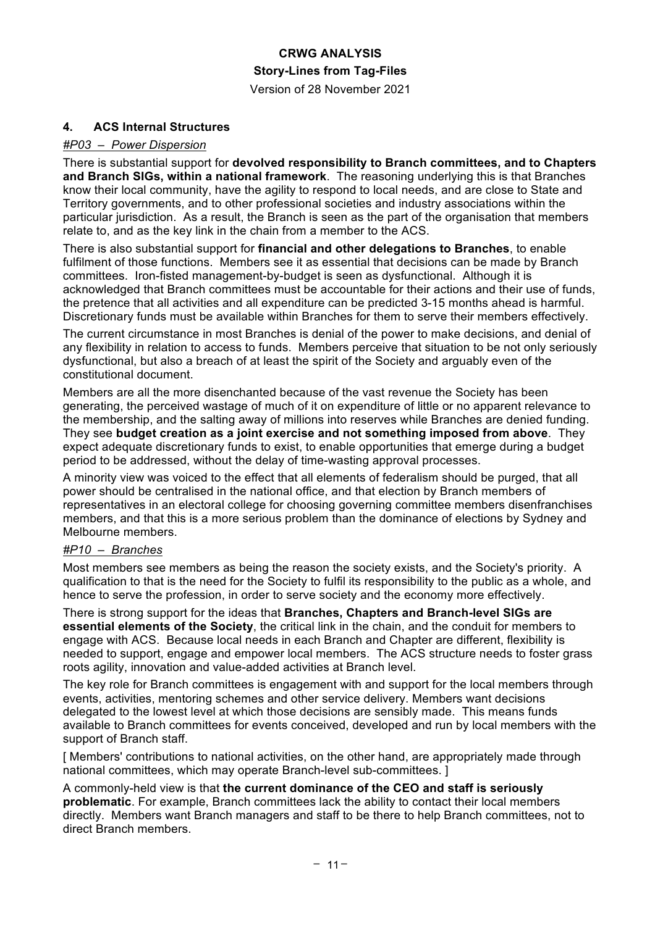Version of 28 November 2021

### **4. ACS Internal Structures**

#### *#P03 – Power Dispersion*

There is substantial support for **devolved responsibility to Branch committees, and to Chapters and Branch SIGs, within a national framework**. The reasoning underlying this is that Branches know their local community, have the agility to respond to local needs, and are close to State and Territory governments, and to other professional societies and industry associations within the particular jurisdiction. As a result, the Branch is seen as the part of the organisation that members relate to, and as the key link in the chain from a member to the ACS.

There is also substantial support for **financial and other delegations to Branches**, to enable fulfilment of those functions. Members see it as essential that decisions can be made by Branch committees. Iron-fisted management-by-budget is seen as dysfunctional. Although it is acknowledged that Branch committees must be accountable for their actions and their use of funds, the pretence that all activities and all expenditure can be predicted 3-15 months ahead is harmful. Discretionary funds must be available within Branches for them to serve their members effectively.

The current circumstance in most Branches is denial of the power to make decisions, and denial of any flexibility in relation to access to funds. Members perceive that situation to be not only seriously dysfunctional, but also a breach of at least the spirit of the Society and arguably even of the constitutional document.

Members are all the more disenchanted because of the vast revenue the Society has been generating, the perceived wastage of much of it on expenditure of little or no apparent relevance to the membership, and the salting away of millions into reserves while Branches are denied funding. They see **budget creation as a joint exercise and not something imposed from above**. They expect adequate discretionary funds to exist, to enable opportunities that emerge during a budget period to be addressed, without the delay of time-wasting approval processes.

A minority view was voiced to the effect that all elements of federalism should be purged, that all power should be centralised in the national office, and that election by Branch members of representatives in an electoral college for choosing governing committee members disenfranchises members, and that this is a more serious problem than the dominance of elections by Sydney and Melbourne members.

#### *#P10 – Branches*

Most members see members as being the reason the society exists, and the Society's priority. A qualification to that is the need for the Society to fulfil its responsibility to the public as a whole, and hence to serve the profession, in order to serve society and the economy more effectively.

There is strong support for the ideas that **Branches, Chapters and Branch-level SIGs are essential elements of the Society**, the critical link in the chain, and the conduit for members to engage with ACS. Because local needs in each Branch and Chapter are different, flexibility is needed to support, engage and empower local members. The ACS structure needs to foster grass roots agility, innovation and value-added activities at Branch level.

The key role for Branch committees is engagement with and support for the local members through events, activities, mentoring schemes and other service delivery. Members want decisions delegated to the lowest level at which those decisions are sensibly made. This means funds available to Branch committees for events conceived, developed and run by local members with the support of Branch staff.

[ Members' contributions to national activities, on the other hand, are appropriately made through national committees, which may operate Branch-level sub-committees. ]

A commonly-held view is that **the current dominance of the CEO and staff is seriously problematic**. For example, Branch committees lack the ability to contact their local members directly. Members want Branch managers and staff to be there to help Branch committees, not to direct Branch members.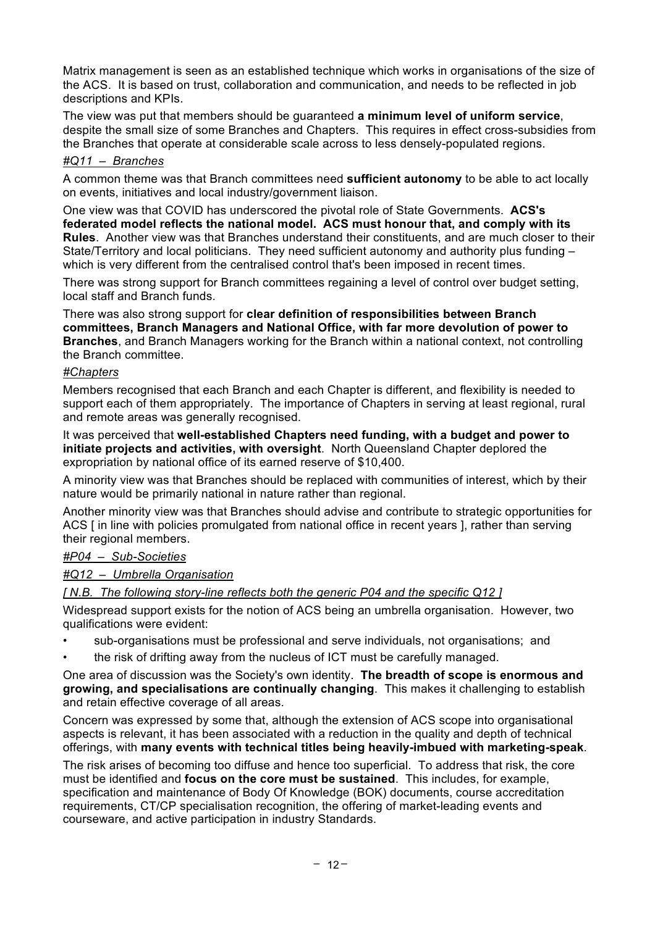Matrix management is seen as an established technique which works in organisations of the size of the ACS. It is based on trust, collaboration and communication, and needs to be reflected in job descriptions and KPIs.

The view was put that members should be guaranteed **a minimum level of uniform service**, despite the small size of some Branches and Chapters. This requires in effect cross-subsidies from the Branches that operate at considerable scale across to less densely-populated regions.

#### *#Q11 – Branches*

A common theme was that Branch committees need **sufficient autonomy** to be able to act locally on events, initiatives and local industry/government liaison.

One view was that COVID has underscored the pivotal role of State Governments. **ACS's federated model reflects the national model. ACS must honour that, and comply with its Rules**. Another view was that Branches understand their constituents, and are much closer to their State/Territory and local politicians. They need sufficient autonomy and authority plus funding – which is very different from the centralised control that's been imposed in recent times.

There was strong support for Branch committees regaining a level of control over budget setting, local staff and Branch funds.

There was also strong support for **clear definition of responsibilities between Branch committees, Branch Managers and National Office, with far more devolution of power to Branches**, and Branch Managers working for the Branch within a national context, not controlling the Branch committee.

#### *#Chapters*

Members recognised that each Branch and each Chapter is different, and flexibility is needed to support each of them appropriately. The importance of Chapters in serving at least regional, rural and remote areas was generally recognised.

It was perceived that **well-established Chapters need funding, with a budget and power to initiate projects and activities, with oversight**. North Queensland Chapter deplored the expropriation by national office of its earned reserve of \$10,400.

A minority view was that Branches should be replaced with communities of interest, which by their nature would be primarily national in nature rather than regional.

Another minority view was that Branches should advise and contribute to strategic opportunities for ACS [in line with policies promulgated from national office in recent years ], rather than serving their regional members.

## *#P04 – Sub-Societies*

*#Q12 – Umbrella Organisation*

*[ N.B. The following story-line reflects both the generic P04 and the specific Q12 ]*

Widespread support exists for the notion of ACS being an umbrella organisation. However, two qualifications were evident:

- sub-organisations must be professional and serve individuals, not organisations; and
- the risk of drifting away from the nucleus of ICT must be carefully managed.

One area of discussion was the Society's own identity. **The breadth of scope is enormous and growing, and specialisations are continually changing**. This makes it challenging to establish and retain effective coverage of all areas.

Concern was expressed by some that, although the extension of ACS scope into organisational aspects is relevant, it has been associated with a reduction in the quality and depth of technical offerings, with **many events with technical titles being heavily-imbued with marketing-speak**.

The risk arises of becoming too diffuse and hence too superficial. To address that risk, the core must be identified and **focus on the core must be sustained**. This includes, for example, specification and maintenance of Body Of Knowledge (BOK) documents, course accreditation requirements, CT/CP specialisation recognition, the offering of market-leading events and courseware, and active participation in industry Standards.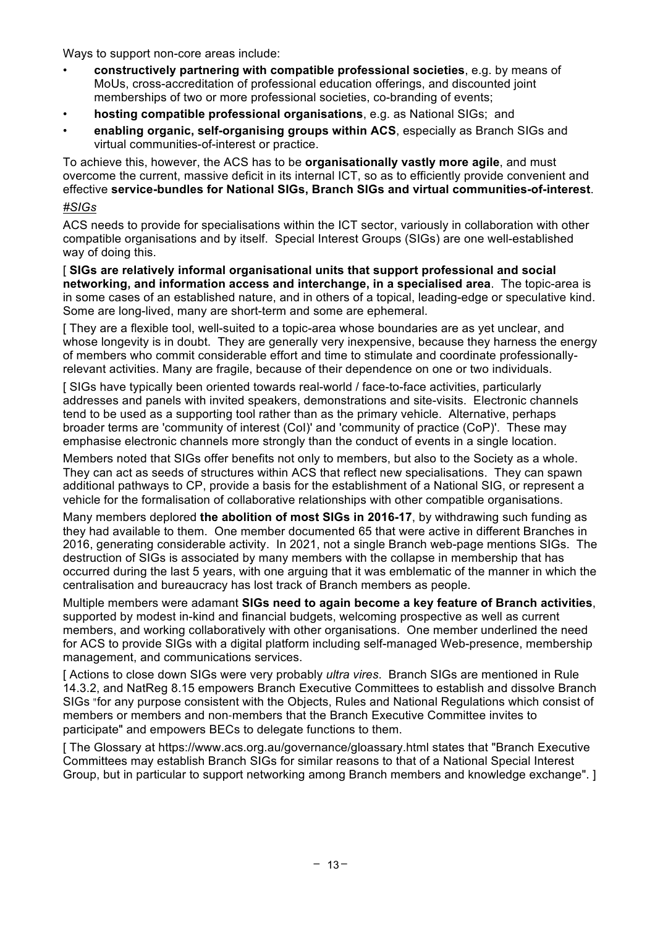Ways to support non-core areas include:

- **constructively partnering with compatible professional societies**, e.g. by means of MoUs, cross-accreditation of professional education offerings, and discounted joint memberships of two or more professional societies, co-branding of events;
- **hosting compatible professional organisations**, e.g. as National SIGs; and
- **enabling organic, self-organising groups within ACS**, especially as Branch SIGs and virtual communities-of-interest or practice.

To achieve this, however, the ACS has to be **organisationally vastly more agile**, and must overcome the current, massive deficit in its internal ICT, so as to efficiently provide convenient and effective **service-bundles for National SIGs, Branch SIGs and virtual communities-of-interest**. *#SIGs*

ACS needs to provide for specialisations within the ICT sector, variously in collaboration with other compatible organisations and by itself. Special Interest Groups (SIGs) are one well-established way of doing this.

[ **SIGs are relatively informal organisational units that support professional and social networking, and information access and interchange, in a specialised area**. The topic-area is in some cases of an established nature, and in others of a topical, leading-edge or speculative kind. Some are long-lived, many are short-term and some are ephemeral.

[ They are a flexible tool, well-suited to a topic-area whose boundaries are as yet unclear, and whose longevity is in doubt. They are generally very inexpensive, because they harness the energy of members who commit considerable effort and time to stimulate and coordinate professionallyrelevant activities. Many are fragile, because of their dependence on one or two individuals.

[ SIGs have typically been oriented towards real-world / face-to-face activities, particularly addresses and panels with invited speakers, demonstrations and site-visits. Electronic channels tend to be used as a supporting tool rather than as the primary vehicle. Alternative, perhaps broader terms are 'community of interest (CoI)' and 'community of practice (CoP)'. These may emphasise electronic channels more strongly than the conduct of events in a single location.

Members noted that SIGs offer benefits not only to members, but also to the Society as a whole. They can act as seeds of structures within ACS that reflect new specialisations. They can spawn additional pathways to CP, provide a basis for the establishment of a National SIG, or represent a vehicle for the formalisation of collaborative relationships with other compatible organisations.

Many members deplored **the abolition of most SIGs in 2016-17**, by withdrawing such funding as they had available to them. One member documented 65 that were active in different Branches in 2016, generating considerable activity. In 2021, not a single Branch web-page mentions SIGs. The destruction of SIGs is associated by many members with the collapse in membership that has occurred during the last 5 years, with one arguing that it was emblematic of the manner in which the centralisation and bureaucracy has lost track of Branch members as people.

Multiple members were adamant **SIGs need to again become a key feature of Branch activities**, supported by modest in-kind and financial budgets, welcoming prospective as well as current members, and working collaboratively with other organisations. One member underlined the need for ACS to provide SIGs with a digital platform including self-managed Web-presence, membership management, and communications services.

[ Actions to close down SIGs were very probably *ultra vires*. Branch SIGs are mentioned in Rule 14.3.2, and NatReg 8.15 empowers Branch Executive Committees to establish and dissolve Branch SIGs "for any purpose consistent with the Objects, Rules and National Regulations which consist of members or members and non‐members that the Branch Executive Committee invites to participate" and empowers BECs to delegate functions to them.

[ The Glossary at https://www.acs.org.au/governance/gloassary.html states that "Branch Executive Committees may establish Branch SIGs for similar reasons to that of a National Special Interest Group, but in particular to support networking among Branch members and knowledge exchange". ]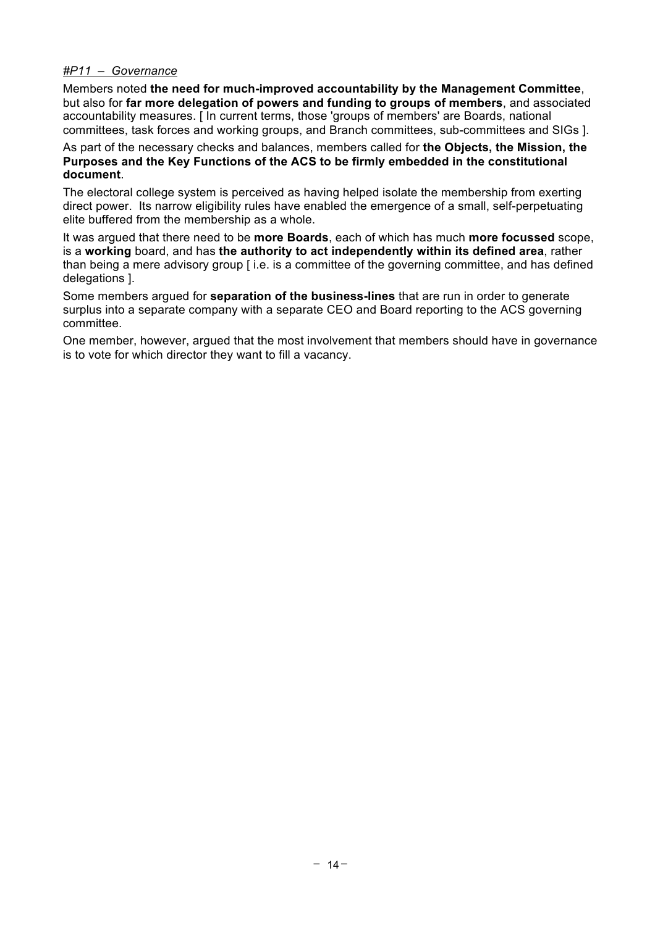#### *#P11 – Governance*

Members noted **the need for much-improved accountability by the Management Committee**, but also for **far more delegation of powers and funding to groups of members**, and associated accountability measures. [ In current terms, those 'groups of members' are Boards, national committees, task forces and working groups, and Branch committees, sub-committees and SIGs ].

#### As part of the necessary checks and balances, members called for **the Objects, the Mission, the Purposes and the Key Functions of the ACS to be firmly embedded in the constitutional document**.

The electoral college system is perceived as having helped isolate the membership from exerting direct power. Its narrow eligibility rules have enabled the emergence of a small, self-perpetuating elite buffered from the membership as a whole.

It was argued that there need to be **more Boards**, each of which has much **more focussed** scope, is a **working** board, and has **the authority to act independently within its defined area**, rather than being a mere advisory group [ i.e. is a committee of the governing committee, and has defined delegations ].

Some members argued for **separation of the business-lines** that are run in order to generate surplus into a separate company with a separate CEO and Board reporting to the ACS governing committee.

One member, however, argued that the most involvement that members should have in governance is to vote for which director they want to fill a vacancy.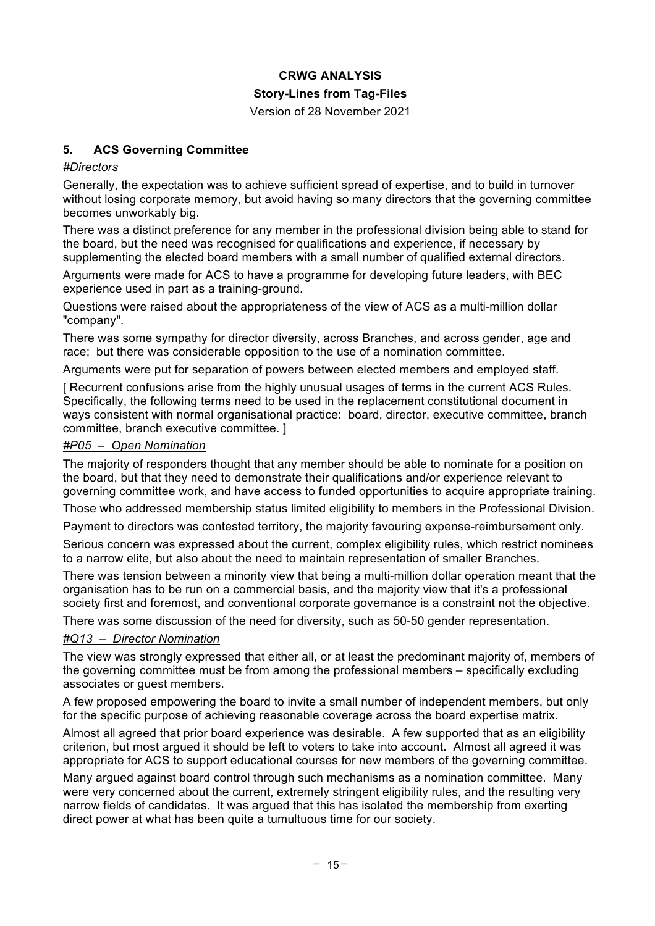Version of 28 November 2021

## **5. ACS Governing Committee**

#### *#Directors*

Generally, the expectation was to achieve sufficient spread of expertise, and to build in turnover without losing corporate memory, but avoid having so many directors that the governing committee becomes unworkably big.

There was a distinct preference for any member in the professional division being able to stand for the board, but the need was recognised for qualifications and experience, if necessary by supplementing the elected board members with a small number of qualified external directors.

Arguments were made for ACS to have a programme for developing future leaders, with BEC experience used in part as a training-ground.

Questions were raised about the appropriateness of the view of ACS as a multi-million dollar "company".

There was some sympathy for director diversity, across Branches, and across gender, age and race; but there was considerable opposition to the use of a nomination committee.

Arguments were put for separation of powers between elected members and employed staff.

[ Recurrent confusions arise from the highly unusual usages of terms in the current ACS Rules. Specifically, the following terms need to be used in the replacement constitutional document in ways consistent with normal organisational practice: board, director, executive committee, branch committee, branch executive committee. ]

#### *#P05 – Open Nomination*

The majority of responders thought that any member should be able to nominate for a position on the board, but that they need to demonstrate their qualifications and/or experience relevant to governing committee work, and have access to funded opportunities to acquire appropriate training.

Those who addressed membership status limited eligibility to members in the Professional Division.

Payment to directors was contested territory, the majority favouring expense-reimbursement only.

Serious concern was expressed about the current, complex eligibility rules, which restrict nominees to a narrow elite, but also about the need to maintain representation of smaller Branches.

There was tension between a minority view that being a multi-million dollar operation meant that the organisation has to be run on a commercial basis, and the majority view that it's a professional society first and foremost, and conventional corporate governance is a constraint not the objective.

There was some discussion of the need for diversity, such as 50-50 gender representation.

#### *#Q13 – Director Nomination*

The view was strongly expressed that either all, or at least the predominant majority of, members of the governing committee must be from among the professional members – specifically excluding associates or guest members.

A few proposed empowering the board to invite a small number of independent members, but only for the specific purpose of achieving reasonable coverage across the board expertise matrix.

Almost all agreed that prior board experience was desirable. A few supported that as an eligibility criterion, but most argued it should be left to voters to take into account. Almost all agreed it was appropriate for ACS to support educational courses for new members of the governing committee.

Many argued against board control through such mechanisms as a nomination committee. Many were very concerned about the current, extremely stringent eligibility rules, and the resulting very narrow fields of candidates. It was argued that this has isolated the membership from exerting direct power at what has been quite a tumultuous time for our society.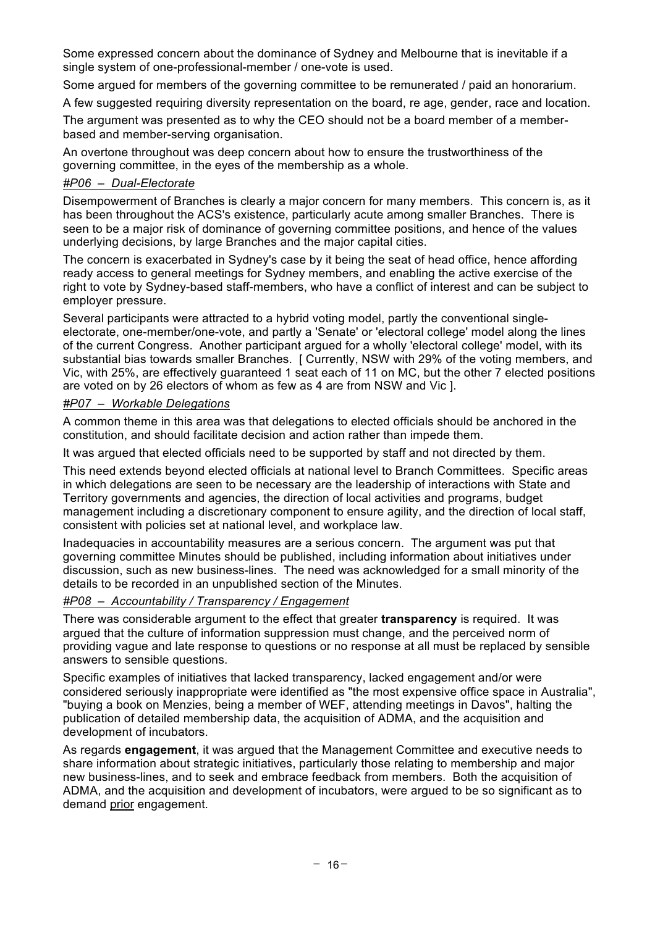Some expressed concern about the dominance of Sydney and Melbourne that is inevitable if a single system of one-professional-member / one-vote is used.

Some argued for members of the governing committee to be remunerated / paid an honorarium.

A few suggested requiring diversity representation on the board, re age, gender, race and location.

The argument was presented as to why the CEO should not be a board member of a memberbased and member-serving organisation.

An overtone throughout was deep concern about how to ensure the trustworthiness of the governing committee, in the eyes of the membership as a whole.

#### *#P06 – Dual-Electorate*

Disempowerment of Branches is clearly a major concern for many members. This concern is, as it has been throughout the ACS's existence, particularly acute among smaller Branches. There is seen to be a major risk of dominance of governing committee positions, and hence of the values underlying decisions, by large Branches and the major capital cities.

The concern is exacerbated in Sydney's case by it being the seat of head office, hence affording ready access to general meetings for Sydney members, and enabling the active exercise of the right to vote by Sydney-based staff-members, who have a conflict of interest and can be subject to employer pressure.

Several participants were attracted to a hybrid voting model, partly the conventional singleelectorate, one-member/one-vote, and partly a 'Senate' or 'electoral college' model along the lines of the current Congress. Another participant argued for a wholly 'electoral college' model, with its substantial bias towards smaller Branches. [ Currently, NSW with 29% of the voting members, and Vic, with 25%, are effectively guaranteed 1 seat each of 11 on MC, but the other 7 elected positions are voted on by 26 electors of whom as few as 4 are from NSW and Vic ].

#### *#P07 – Workable Delegations*

A common theme in this area was that delegations to elected officials should be anchored in the constitution, and should facilitate decision and action rather than impede them.

It was argued that elected officials need to be supported by staff and not directed by them.

This need extends beyond elected officials at national level to Branch Committees. Specific areas in which delegations are seen to be necessary are the leadership of interactions with State and Territory governments and agencies, the direction of local activities and programs, budget management including a discretionary component to ensure agility, and the direction of local staff, consistent with policies set at national level, and workplace law.

Inadequacies in accountability measures are a serious concern. The argument was put that governing committee Minutes should be published, including information about initiatives under discussion, such as new business-lines. The need was acknowledged for a small minority of the details to be recorded in an unpublished section of the Minutes.

## *#P08 – Accountability / Transparency / Engagement*

There was considerable argument to the effect that greater **transparency** is required. It was argued that the culture of information suppression must change, and the perceived norm of providing vague and late response to questions or no response at all must be replaced by sensible answers to sensible questions.

Specific examples of initiatives that lacked transparency, lacked engagement and/or were considered seriously inappropriate were identified as "the most expensive office space in Australia", "buying a book on Menzies, being a member of WEF, attending meetings in Davos", halting the publication of detailed membership data, the acquisition of ADMA, and the acquisition and development of incubators.

As regards **engagement**, it was argued that the Management Committee and executive needs to share information about strategic initiatives, particularly those relating to membership and major new business-lines, and to seek and embrace feedback from members. Both the acquisition of ADMA, and the acquisition and development of incubators, were argued to be so significant as to demand prior engagement.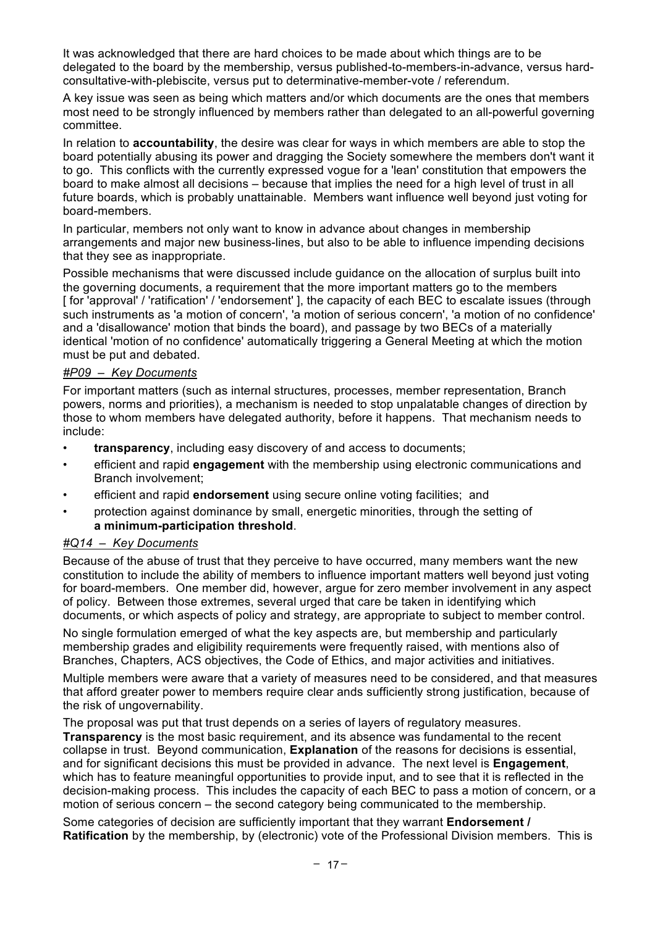It was acknowledged that there are hard choices to be made about which things are to be delegated to the board by the membership, versus published-to-members-in-advance, versus hardconsultative-with-plebiscite, versus put to determinative-member-vote / referendum.

A key issue was seen as being which matters and/or which documents are the ones that members most need to be strongly influenced by members rather than delegated to an all-powerful governing committee.

In relation to **accountability**, the desire was clear for ways in which members are able to stop the board potentially abusing its power and dragging the Society somewhere the members don't want it to go.This conflicts with the currently expressed vogue for a 'lean' constitution that empowers the board to make almost all decisions – because that implies the need for a high level of trust in all future boards, which is probably unattainable. Members want influence well beyond just voting for board-members.

In particular, members not only want to know in advance about changes in membership arrangements and major new business-lines, but also to be able to influence impending decisions that they see as inappropriate.

Possible mechanisms that were discussed include guidance on the allocation of surplus built into the governing documents, a requirement that the more important matters go to the members [for 'approval' / 'ratification' / 'endorsement' ], the capacity of each BEC to escalate issues (through such instruments as 'a motion of concern', 'a motion of serious concern', 'a motion of no confidence' and a 'disallowance' motion that binds the board), and passage by two BECs of a materially identical 'motion of no confidence' automatically triggering a General Meeting at which the motion must be put and debated.

#### *#P09 – Key Documents*

For important matters (such as internal structures, processes, member representation, Branch powers, norms and priorities), a mechanism is needed to stop unpalatable changes of direction by those to whom members have delegated authority, before it happens. That mechanism needs to include:

- **transparency**, including easy discovery of and access to documents;
- efficient and rapid **engagement** with the membership using electronic communications and Branch involvement;
- efficient and rapid **endorsement** using secure online voting facilities; and
- protection against dominance by small, energetic minorities, through the setting of **a minimum-participation threshold**.

### *#Q14 – Key Documents*

Because of the abuse of trust that they perceive to have occurred, many members want the new constitution to include the ability of members to influence important matters well beyond just voting for board-members. One member did, however, argue for zero member involvement in any aspect of policy. Between those extremes, several urged that care be taken in identifying which documents, or which aspects of policy and strategy, are appropriate to subject to member control.

No single formulation emerged of what the key aspects are, but membership and particularly membership grades and eligibility requirements were frequently raised, with mentions also of Branches, Chapters, ACS objectives, the Code of Ethics, and major activities and initiatives.

Multiple members were aware that a variety of measures need to be considered, and that measures that afford greater power to members require clear ands sufficiently strong justification, because of the risk of ungovernability.

The proposal was put that trust depends on a series of layers of regulatory measures.

**Transparency** is the most basic requirement, and its absence was fundamental to the recent collapse in trust. Beyond communication, **Explanation** of the reasons for decisions is essential, and for significant decisions this must be provided in advance. The next level is **Engagement**, which has to feature meaningful opportunities to provide input, and to see that it is reflected in the decision-making process. This includes the capacity of each BEC to pass a motion of concern, or a motion of serious concern – the second category being communicated to the membership.

Some categories of decision are sufficiently important that they warrant **Endorsement / Ratification** by the membership, by (electronic) vote of the Professional Division members. This is